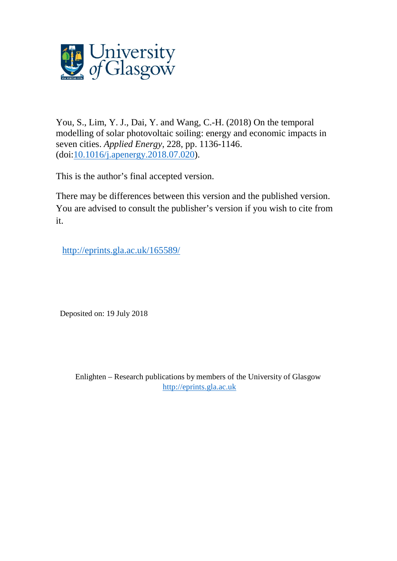

You, S., Lim, Y. J., Dai, Y. and Wang, C.-H. (2018) On the temporal modelling of solar photovoltaic soiling: energy and economic impacts in seven cities. *Applied Energy*, 228, pp. 1136-1146. (doi[:10.1016/j.apenergy.2018.07.020\)](http://dx.doi.org/10.1016/j.apenergy.2018.07.020).

This is the author's final accepted version.

There may be differences between this version and the published version. You are advised to consult the publisher's version if you wish to cite from it.

<http://eprints.gla.ac.uk/165589/>

Deposited on: 19 July 2018

Enlighten – Research publications by members of the University of Glasgow [http://eprints.gla.ac.uk](http://eprints.gla.ac.uk/)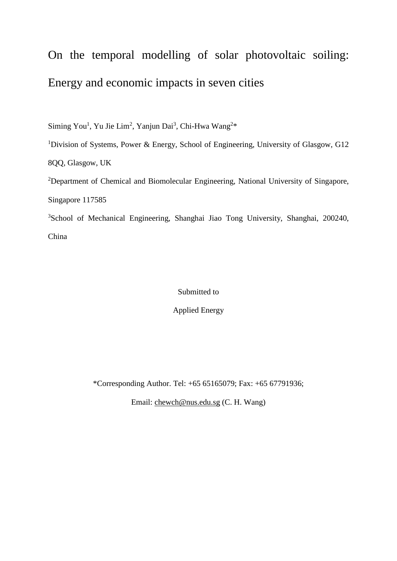# On the temporal modelling of solar photovoltaic soiling: Energy and economic impacts in seven cities

Siming You<sup>1</sup>, Yu Jie Lim<sup>2</sup>, Yanjun Dai<sup>3</sup>, Chi-Hwa Wang<sup>2\*</sup>

<sup>1</sup>Division of Systems, Power & Energy, School of Engineering, University of Glasgow, G12 8QQ, Glasgow, UK

<sup>2</sup>Department of Chemical and Biomolecular Engineering, National University of Singapore, Singapore 117585

<sup>3</sup>School of Mechanical Engineering, Shanghai Jiao Tong University, Shanghai, 200240, China

Submitted to

Applied Energy

\*Corresponding Author. Tel: +65 65165079; Fax: +65 67791936;

Email: [chewch@nus.edu.sg](mailto:chewch@nus.edu.sg) (C. H. Wang)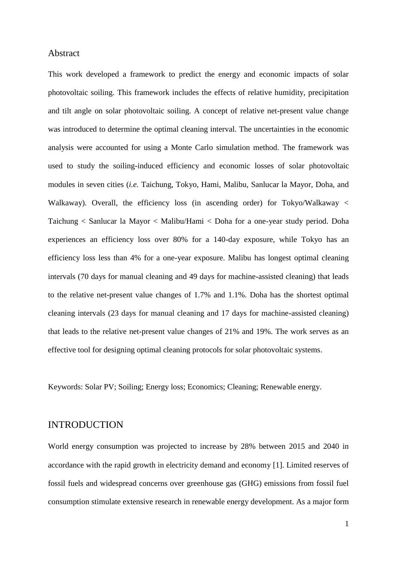#### Abstract

This work developed a framework to predict the energy and economic impacts of solar photovoltaic soiling. This framework includes the effects of relative humidity, precipitation and tilt angle on solar photovoltaic soiling. A concept of relative net-present value change was introduced to determine the optimal cleaning interval. The uncertainties in the economic analysis were accounted for using a Monte Carlo simulation method. The framework was used to study the soiling-induced efficiency and economic losses of solar photovoltaic modules in seven cities (*i.e.* Taichung, Tokyo, Hami, Malibu, Sanlucar la Mayor, Doha, and Walkaway). Overall, the efficiency loss (in ascending order) for Tokyo/Walkaway < Taichung < Sanlucar la Mayor < Malibu/Hami < Doha for a one-year study period. Doha experiences an efficiency loss over 80% for a 140-day exposure, while Tokyo has an efficiency loss less than 4% for a one-year exposure. Malibu has longest optimal cleaning intervals (70 days for manual cleaning and 49 days for machine-assisted cleaning) that leads to the relative net-present value changes of 1.7% and 1.1%. Doha has the shortest optimal cleaning intervals (23 days for manual cleaning and 17 days for machine-assisted cleaning) that leads to the relative net-present value changes of 21% and 19%. The work serves as an effective tool for designing optimal cleaning protocols for solar photovoltaic systems.

Keywords: Solar PV; Soiling; Energy loss; Economics; Cleaning; Renewable energy.

## INTRODUCTION

World energy consumption was projected to increase by 28% between 2015 and 2040 in accordance with the rapid growth in electricity demand and economy [1]. Limited reserves of fossil fuels and widespread concerns over greenhouse gas (GHG) emissions from fossil fuel consumption stimulate extensive research in renewable energy development. As a major form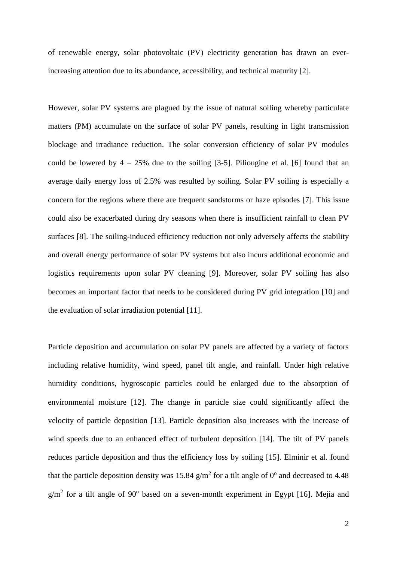of renewable energy, solar photovoltaic (PV) electricity generation has drawn an everincreasing attention due to its abundance, accessibility, and technical maturity [2].

However, solar PV systems are plagued by the issue of natural soiling whereby particulate matters (PM) accumulate on the surface of solar PV panels, resulting in light transmission blockage and irradiance reduction. The solar conversion efficiency of solar PV modules could be lowered by  $4 - 25\%$  due to the soiling [3-5]. Piliougine et al. [6] found that an average daily energy loss of 2.5% was resulted by soiling. Solar PV soiling is especially a concern for the regions where there are frequent sandstorms or haze episodes [7]. This issue could also be exacerbated during dry seasons when there is insufficient rainfall to clean PV surfaces [8]. The soiling-induced efficiency reduction not only adversely affects the stability and overall energy performance of solar PV systems but also incurs additional economic and logistics requirements upon solar PV cleaning [9]. Moreover, solar PV soiling has also becomes an important factor that needs to be considered during PV grid integration [10] and the evaluation of solar irradiation potential [11].

Particle deposition and accumulation on solar PV panels are affected by a variety of factors including relative humidity, wind speed, panel tilt angle, and rainfall. Under high relative humidity conditions, hygroscopic particles could be enlarged due to the absorption of environmental moisture [12]. The change in particle size could significantly affect the velocity of particle deposition [13]. Particle deposition also increases with the increase of wind speeds due to an enhanced effect of turbulent deposition [14]. The tilt of PV panels reduces particle deposition and thus the efficiency loss by soiling [15]. Elminir et al. found that the particle deposition density was 15.84  $g/m^2$  for a tilt angle of 0° and decreased to 4.48  $g/m<sup>2</sup>$  for a tilt angle of 90<sup>°</sup> based on a seven-month experiment in Egypt [16]. Mejia and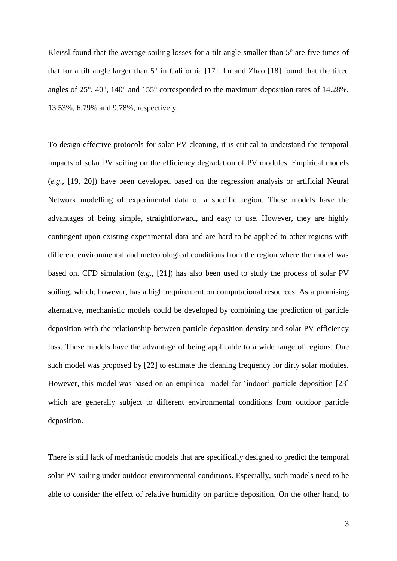Kleissl found that the average soiling losses for a tilt angle smaller than  $5^\circ$  are five times of that for a tilt angle larger than  $5^{\circ}$  in California [17]. Lu and Zhao [18] found that the tilted angles of 25°, 40°, 140° and 155° corresponded to the maximum deposition rates of 14.28%, 13.53%, 6.79% and 9.78%, respectively.

To design effective protocols for solar PV cleaning, it is critical to understand the temporal impacts of solar PV soiling on the efficiency degradation of PV modules. Empirical models (*e.g.*, [19, 20]) have been developed based on the regression analysis or artificial Neural Network modelling of experimental data of a specific region. These models have the advantages of being simple, straightforward, and easy to use. However, they are highly contingent upon existing experimental data and are hard to be applied to other regions with different environmental and meteorological conditions from the region where the model was based on. CFD simulation (*e.g.,* [21]) has also been used to study the process of solar PV soiling, which, however, has a high requirement on computational resources. As a promising alternative, mechanistic models could be developed by combining the prediction of particle deposition with the relationship between particle deposition density and solar PV efficiency loss. These models have the advantage of being applicable to a wide range of regions. One such model was proposed by [22] to estimate the cleaning frequency for dirty solar modules. However, this model was based on an empirical model for 'indoor' particle deposition [23] which are generally subject to different environmental conditions from outdoor particle deposition.

There is still lack of mechanistic models that are specifically designed to predict the temporal solar PV soiling under outdoor environmental conditions. Especially, such models need to be able to consider the effect of relative humidity on particle deposition. On the other hand, to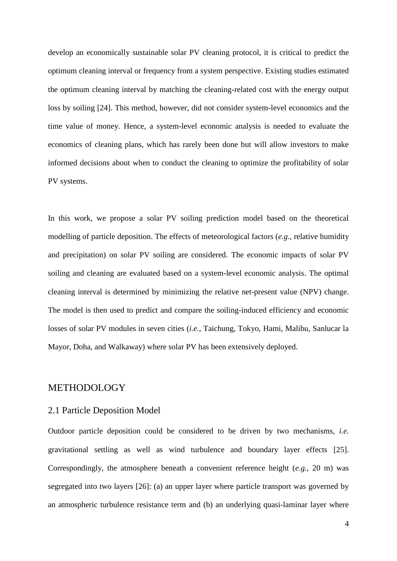develop an economically sustainable solar PV cleaning protocol, it is critical to predict the optimum cleaning interval or frequency from a system perspective. Existing studies estimated the optimum cleaning interval by matching the cleaning-related cost with the energy output loss by soiling [24]. This method, however, did not consider system-level economics and the time value of money. Hence, a system-level economic analysis is needed to evaluate the economics of cleaning plans, which has rarely been done but will allow investors to make informed decisions about when to conduct the cleaning to optimize the profitability of solar PV systems.

In this work, we propose a solar PV soiling prediction model based on the theoretical modelling of particle deposition. The effects of meteorological factors (*e.g.*, relative humidity and precipitation) on solar PV soiling are considered. The economic impacts of solar PV soiling and cleaning are evaluated based on a system-level economic analysis. The optimal cleaning interval is determined by minimizing the relative net-present value (NPV) change. The model is then used to predict and compare the soiling-induced efficiency and economic losses of solar PV modules in seven cities (*i.e.*, Taichung, Tokyo, Hami, Malibu, Sanlucar la Mayor, Doha, and Walkaway) where solar PV has been extensively deployed.

#### METHODOLOGY

#### 2.1 Particle Deposition Model

Outdoor particle deposition could be considered to be driven by two mechanisms, *i.e.* gravitational settling as well as wind turbulence and boundary layer effects [25]. Correspondingly, the atmosphere beneath a convenient reference height (*e.g.*, 20 m) was segregated into two layers [26]: (a) an upper layer where particle transport was governed by an atmospheric turbulence resistance term and (b) an underlying quasi-laminar layer where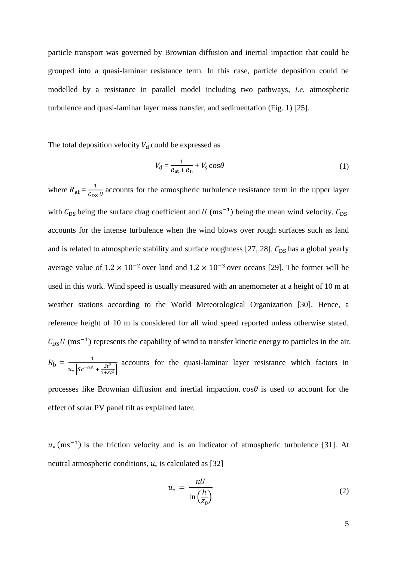particle transport was governed by Brownian diffusion and inertial impaction that could be grouped into a quasi-laminar resistance term. In this case, particle deposition could be modelled by a resistance in parallel model including two pathways, *i.e.* atmospheric turbulence and quasi-laminar layer mass transfer, and sedimentation (Fig. 1) [25].

The total deposition velocity  $V_d$  could be expressed as

$$
V_{\rm d} = \frac{1}{R_{\rm at} + R_{\rm b}} + V_{\rm s} \cos \theta \tag{1}
$$

where  $R_{at} = \frac{1}{C_{eq}}$  $\frac{1}{\epsilon_{DS} v}$  accounts for the atmospheric turbulence resistance term in the upper layer with  $C_{DS}$  being the surface drag coefficient and  $U$  (ms<sup>-1</sup>) being the mean wind velocity.  $C_{DS}$ accounts for the intense turbulence when the wind blows over rough surfaces such as land and is related to atmospheric stability and surface roughness [27, 28].  $C_{DS}$  has a global yearly average value of  $1.2 \times 10^{-2}$  over land and  $1.2 \times 10^{-3}$  over oceans [29]. The former will be used in this work. Wind speed is usually measured with an anemometer at a height of 10 m at weather stations according to the World Meteorological Organization [30]. Hence, a reference height of 10 m is considered for all wind speed reported unless otherwise stated.  $C_{DS}U$  (ms<sup>-1</sup>) represents the capability of wind to transfer kinetic energy to particles in the air.  $R_{\rm b} = \frac{1}{\sqrt{1 - 95}}$  $u_* \left[sc^{-0.5} + \frac{St^2}{1+St} \right]$  $\frac{3t}{1+St^2}$ accounts for the quasi-laminar layer resistance which factors in

processes like Brownian diffusion and inertial impaction.  $\cos\theta$  is used to account for the effect of solar PV panel tilt as explained later.

 $u$ <sub>\*</sub> (ms<sup>-1</sup>) is the friction velocity and is an indicator of atmospheric turbulence [31]. At neutral atmospheric conditions,  $u_*$  is calculated as [32]

$$
u_* = \frac{\kappa U}{\ln\left(\frac{h}{z_0}\right)}\tag{2}
$$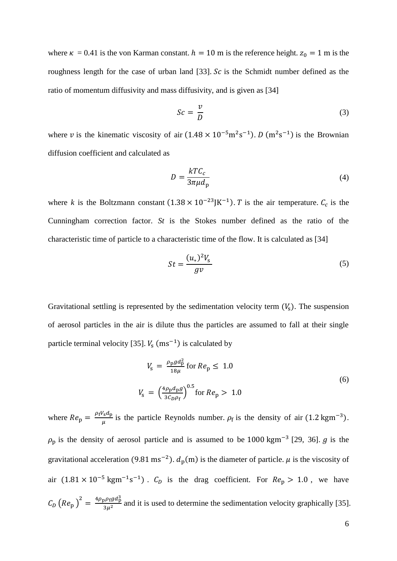where  $\kappa = 0.41$  is the von Karman constant.  $h = 10$  m is the reference height.  $z_0 = 1$  m is the roughness length for the case of urban land [33].  $Sc$  is the Schmidt number defined as the [ratio](https://en.wikipedia.org/wiki/Ratio) of [momentum diffusivity](https://en.wikipedia.org/wiki/Momentum_diffusion) and [mass diffusivity,](https://en.wikipedia.org/wiki/Mass_diffusivity) and is given as [34]

$$
Sc = \frac{v}{D} \tag{3}
$$

where v is the kinematic viscosity of air  $(1.48 \times 10^{-5} \text{m}^2 \text{s}^{-1})$ .  $D \text{ (m}^2 \text{s}^{-1})$  is the Brownian diffusion coefficient and calculated as

$$
D = \frac{kT C_c}{3\pi \mu d_p} \tag{4}
$$

where *k* is the Boltzmann constant  $(1.38 \times 10^{-23})$ K<sup>-1</sup>). *T* is the air temperature.  $C_c$  is the Cunningham correction factor. *St* is the Stokes number defined as the ratio of the characteristic time of particle to a characteristic time of the flow. It is calculated as [34]

$$
St = \frac{(u_*)^2 V_s}{gv} \tag{5}
$$

Gravitational settling is represented by the sedimentation velocity term  $(V_s)$ . The suspension of aerosol particles in the air is dilute thus the particles are assumed to fall at their single particle terminal velocity [35].  $V_s$  (ms<sup>-1</sup>) is calculated by

$$
V_{\rm s} = \frac{\rho_{\rm p} g d_{\rm p}^2}{18\mu} \text{ for } Re_{\rm p} \le 1.0
$$
  

$$
V_{\rm s} = \left(\frac{4\rho_{\rm p} d_{\rm p} g}{3C_{\rm p}\rho_{\rm f}}\right)^{0.5} \text{ for } Re_{\rm p} > 1.0
$$
 (6)

where  $Re_p = \frac{\rho_f V_s d_p}{H}$  $\frac{\mu_{\rm s} a_{\rm p}}{\mu}$  is the particle Reynolds number.  $\rho_{\rm f}$  is the density of air (1.2 kgm<sup>-3</sup>).  $\rho_p$  is the density of aerosol particle and is assumed to be 1000 kgm<sup>-3</sup> [29, 36]. *g* is the gravitational acceleration (9.81 ms<sup>-2</sup>).  $d_p(m)$  is the diameter of particle.  $\mu$  is the viscosity of air  $(1.81 \times 10^{-5} \text{ kgm}^{-1} \text{s}^{-1})$ .  $C_D$  is the drag coefficient. For  $Re_p > 1.0$ , we have  $C_D (Re_p)^2 = \frac{4\rho_p \rho_f g d_p^3}{3n^2}$  $\frac{3p+19}{(3p)^2}$  and it is used to determine the sedimentation velocity graphically [35].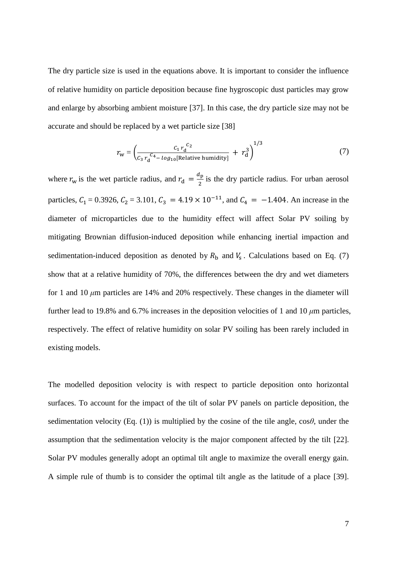The dry particle size is used in the equations above. It is important to consider the influence of relative humidity on particle deposition because fine hygroscopic dust particles may grow and enlarge by absorbing ambient moisture [37]. In this case, the dry particle size may not be accurate and should be replaced by a wet particle size [38]

$$
r_{\rm w} = \left(\frac{c_1 r_{\rm d}^{c_2}}{c_3 r_{\rm d}^{c_4} - \log_{10}[\text{Relative humidity}]} + r_{\rm d}^3\right)^{1/3} \tag{7}
$$

where  $r_w$  is the wet particle radius, and  $r_d = \frac{d_p}{2}$  $\frac{2}{2}$  is the dry particle radius. For urban aerosol particles,  $C_1 = 0.3926$ ,  $C_2 = 3.101$ ,  $C_3 = 4.19 \times 10^{-11}$ , and  $C_4 = -1.404$ . An increase in the diameter of microparticles due to the humidity effect will affect Solar PV soiling by mitigating Brownian diffusion-induced deposition while enhancing inertial impaction and sedimentation-induced deposition as denoted by  $R<sub>b</sub>$  and  $V<sub>s</sub>$ . Calculations based on Eq. (7) show that at a relative humidity of 70%, the differences between the dry and wet diameters for 1 and 10 *μ*m particles are 14% and 20% respectively. These changes in the diameter will further lead to 19.8% and 6.7% increases in the deposition velocities of 1 and 10 *μ*m particles, respectively. The effect of relative humidity on solar PV soiling has been rarely included in existing models.

The modelled deposition velocity is with respect to particle deposition onto horizontal surfaces. To account for the impact of the tilt of solar PV panels on particle deposition, the sedimentation velocity (Eq. (1)) is multiplied by the cosine of the tile angle, cos*θ*, under the assumption that the sedimentation velocity is the major component affected by the tilt [22]. Solar PV modules generally adopt an optimal tilt angle to maximize the overall energy gain. A simple rule of thumb is to consider the optimal tilt angle as the latitude of a place [39].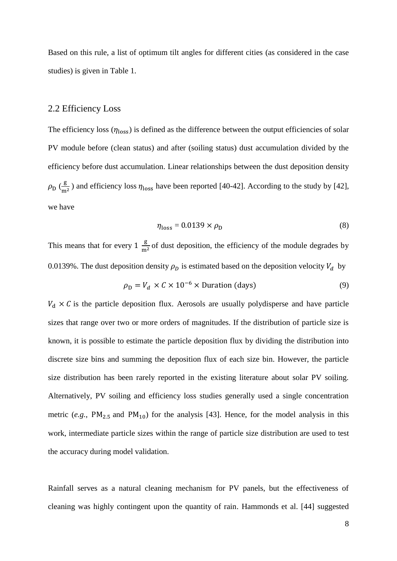Based on this rule, a list of optimum tilt angles for different cities (as considered in the case studies) is given in Table 1.

#### 2.2 Efficiency Loss

The efficiency loss  $(\eta_{loss})$  is defined as the difference between the output efficiencies of solar PV module before (clean status) and after (soiling status) dust accumulation divided by the efficiency before dust accumulation. Linear relationships between the dust deposition density  $\rho_{\rm D}$  ( $\frac{\rm g}{\rm m}$ )  $\frac{8}{m^2}$ ) and efficiency loss  $\eta_{\text{loss}}$  have been reported [40-42]. According to the study by [42], we have

$$
\eta_{\text{loss}} = 0.0139 \times \rho_{\text{D}} \tag{8}
$$

This means that for every  $1 \frac{g}{m}$  $\frac{g}{m^2}$  of dust deposition, the efficiency of the module degrades by 0.0139%. The dust deposition density  $\rho_D$  is estimated based on the deposition velocity  $V_d$  by

$$
\rho_{\rm D} = V_d \times C \times 10^{-6} \times \text{Duration (days)} \tag{9}
$$

 $V_d \times C$  is the particle deposition flux. Aerosols are usually polydisperse and have particle sizes that range over two or more orders of magnitudes. If the distribution of particle size is known, it is possible to estimate the particle deposition flux by dividing the distribution into discrete size bins and summing the deposition flux of each size bin. However, the particle size distribution has been rarely reported in the existing literature about solar PV soiling. Alternatively, PV soiling and efficiency loss studies generally used a single concentration metric (*e.g.*,  $PM_{2.5}$  and  $PM_{10}$ ) for the analysis [43]. Hence, for the model analysis in this work, intermediate particle sizes within the range of particle size distribution are used to test the accuracy during model validation.

Rainfall serves as a natural cleaning mechanism for PV panels, but the effectiveness of cleaning was highly contingent upon the quantity of rain. Hammonds et al. [44] suggested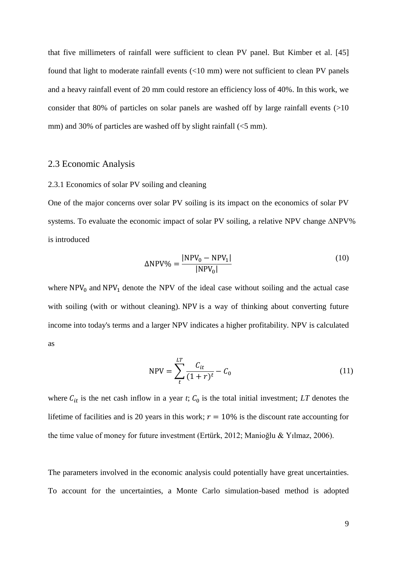that five millimeters of rainfall were sufficient to clean PV panel. But Kimber et al. [45] found that light to moderate rainfall events (<10 mm) were not sufficient to clean PV panels and a heavy rainfall event of 20 mm could restore an efficiency loss of 40%. In this work, we consider that 80% of particles on solar panels are washed off by large rainfall events  $(>10$ mm) and 30% of particles are washed off by slight rainfall (<5 mm).

#### 2.3 Economic Analysis

#### 2.3.1 Economics of solar PV soiling and cleaning

One of the major concerns over solar PV soiling is its impact on the economics of solar PV systems. To evaluate the economic impact of solar PV soiling, a relative NPV change ∆NPV% is introduced

$$
\Delta NPV\% = \frac{|NPV_0 - NPV_1|}{|NPV_0|} \tag{10}
$$

where  $NPV_0$  and  $NPV_1$  denote the NPV of the ideal case without soiling and the actual case with soiling (with or without cleaning). NPV is a way of thinking about converting future income into today's terms and a larger NPV indicates a higher profitability. NPV is calculated as

$$
NPV = \sum_{t}^{LT} \frac{C_{it}}{(1+r)^t} - C_0
$$
\n(11)

where  $C_{it}$  is the net cash inflow in a year *t*;  $C_0$  is the total initial investment; *LT* denotes the lifetime of facilities and is 20 years in this work;  $r = 10\%$  is the discount rate accounting for the time value of money for future investment (Ertürk, 2012; Manioğlu & Yılmaz, 2006).

The parameters involved in the economic analysis could potentially have great uncertainties. To account for the uncertainties, a Monte Carlo simulation-based method is adopted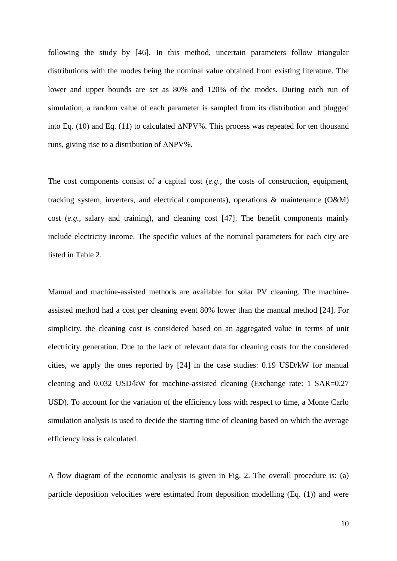following the study by [46]. In this method, uncertain parameters follow triangular distributions with the modes being the nominal value obtained from existing literature. The lower and upper bounds are set as 80% and 120% of the modes. During each run of simulation, a random value of each parameter is sampled from its distribution and plugged into Eq. (10) and Eq. (11) to calculated ∆NPV%. This process was repeated for ten thousand runs, giving rise to a distribution of ∆NPV%.

The cost components consist of a capital cost (*e.g.*, the costs of construction, equipment, tracking system, inverters, and electrical components), operations & maintenance (O&M) cost (*e.g.*, salary and training), and cleaning cost [47]. The benefit components mainly include electricity income. The specific values of the nominal parameters for each city are listed in Table 2.

Manual and machine-assisted methods are available for solar PV cleaning. The machineassisted method had a cost per cleaning event 80% lower than the manual method [24]. For simplicity, the cleaning cost is considered based on an aggregated value in terms of unit electricity generation. Due to the lack of relevant data for cleaning costs for the considered cities, we apply the ones reported by [24] in the case studies: 0.19 USD/kW for manual cleaning and 0.032 USD/kW for machine-assisted cleaning (Exchange rate: 1 SAR=0.27 USD). To account for the variation of the efficiency loss with respect to time, a Monte Carlo simulation analysis is used to decide the starting time of cleaning based on which the average efficiency loss is calculated.

A flow diagram of the economic analysis is given in Fig. 2. The overall procedure is: (a) particle deposition velocities were estimated from deposition modelling (Eq. (1)) and were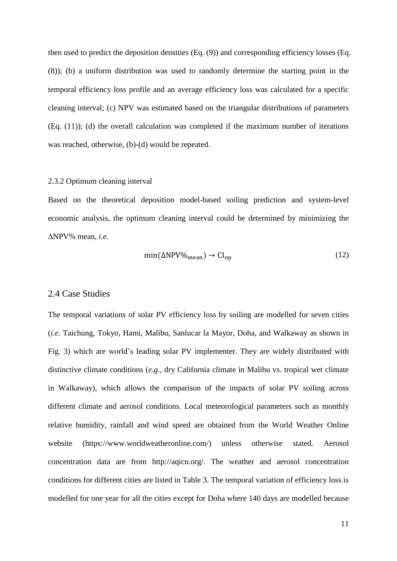then used to predict the deposition densities (Eq. (9)) and corresponding efficiency losses (Eq. (8)); (b) a uniform distribution was used to randomly determine the starting point in the temporal efficiency loss profile and an average efficiency loss was calculated for a specific cleaning interval; (c) NPV was estimated based on the triangular distributions of parameters (Eq. (11)); (d) the overall calculation was completed if the maximum number of iterations was reached, otherwise, (b)-(d) would be repeated.

#### 2.3.2 Optimum cleaning interval

Based on the theoretical deposition model-based soiling prediction and system-level economic analysis, the optimum cleaning interval could be determined by minimizing the ∆NPV% mean, *i.e.*

$$
\min(\Delta NPV\%_{\text{mean}}) \to \text{CI}_{\text{op}} \tag{12}
$$

#### 2.4 Case Studies

The temporal variations of solar PV efficiency loss by soiling are modelled for seven cities (*i.e.* Taichung, Tokyo, Hami, Malibu, Sanlucar la Mayor, Doha, and Walkaway as shown in Fig. 3) which are world's leading solar PV implementer. They are widely distributed with distinctive climate conditions (*e.g*., dry California climate in Malibu vs. tropical wet climate in Walkaway), which allows the comparison of the impacts of solar PV soiling across different climate and aerosol conditions. Local meteorological parameters such as monthly relative humidity, rainfall and wind speed are obtained from the World Weather Online website (https://www.worldweatheronline.com/) unless otherwise stated. Aerosol concentration data are from http://aqicn.org/. The weather and aerosol concentration conditions for different cities are listed in Table 3. The temporal variation of efficiency loss is modelled for one year for all the cities except for Doha where 140 days are modelled because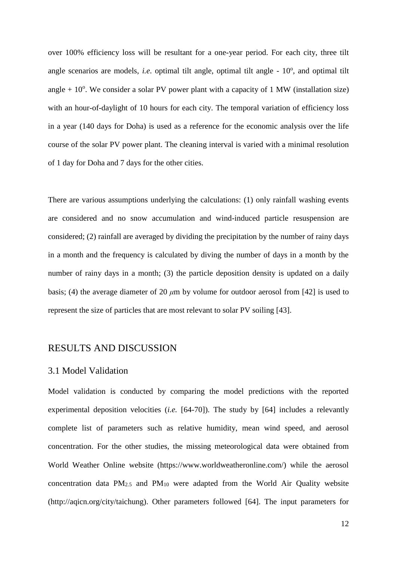over 100% efficiency loss will be resultant for a one-year period. For each city, three tilt angle scenarios are models, *i.e.* optimal tilt angle, optimal tilt angle - 10°, and optimal tilt angle  $+10$ <sup>o</sup>. We consider a solar PV power plant with a capacity of 1 MW (installation size) with an hour-of-daylight of 10 hours for each city. The temporal variation of efficiency loss in a year (140 days for Doha) is used as a reference for the economic analysis over the life course of the solar PV power plant. The cleaning interval is varied with a minimal resolution of 1 day for Doha and 7 days for the other cities.

There are various assumptions underlying the calculations: (1) only rainfall washing events are considered and no snow accumulation and wind-induced particle resuspension are considered; (2) rainfall are averaged by dividing the precipitation by the number of rainy days in a month and the frequency is calculated by diving the number of days in a month by the number of rainy days in a month; (3) the particle deposition density is updated on a daily basis; (4) the average diameter of 20 *μ*m by volume for outdoor aerosol from [42] is used to represent the size of particles that are most relevant to solar PV soiling [43].

# RESULTS AND DISCUSSION

#### 3.1 Model Validation

Model validation is conducted by comparing the model predictions with the reported experimental deposition velocities (*i.e.* [64-70]). The study by [64] includes a relevantly complete list of parameters such as relative humidity, mean wind speed, and aerosol concentration. For the other studies, the missing meteorological data were obtained from World Weather Online website (https://www.worldweatheronline.com/) while the aerosol concentration data  $PM_{2.5}$  and  $PM_{10}$  were adapted from the World Air Quality website (http://aqicn.org/city/taichung). Other parameters followed [64]. The input parameters for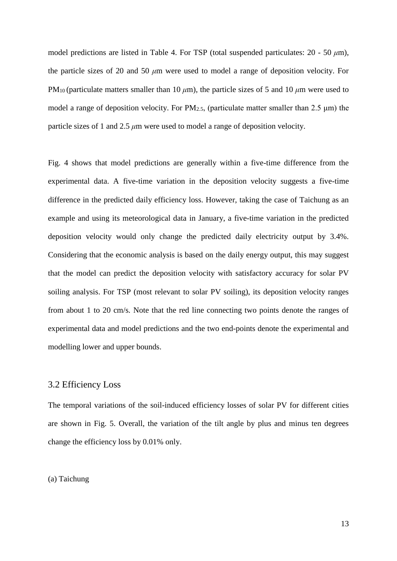model predictions are listed in Table 4. For TSP (total suspended particulates: 20 - 50 *μ*m), the particle sizes of 20 and 50 *μ*m were used to model a range of deposition velocity. For PM10 (particulate matters smaller than 10 *μ*m), the particle sizes of 5 and 10 *μ*m were used to model a range of deposition velocity. For  $PM_{2.5}$ , (particulate matter smaller than 2.5  $\mu$ m) the particle sizes of 1 and 2.5 *μ*m were used to model a range of deposition velocity.

Fig. 4 shows that model predictions are generally within a five-time difference from the experimental data. A five-time variation in the deposition velocity suggests a five-time difference in the predicted daily efficiency loss. However, taking the case of Taichung as an example and using its meteorological data in January, a five-time variation in the predicted deposition velocity would only change the predicted daily electricity output by 3.4%. Considering that the economic analysis is based on the daily energy output, this may suggest that the model can predict the deposition velocity with satisfactory accuracy for solar PV soiling analysis. For TSP (most relevant to solar PV soiling), its deposition velocity ranges from about 1 to 20 cm/s. Note that the red line connecting two points denote the ranges of experimental data and model predictions and the two end-points denote the experimental and modelling lower and upper bounds.

## 3.2 Efficiency Loss

The temporal variations of the soil-induced efficiency losses of solar PV for different cities are shown in Fig. 5. Overall, the variation of the tilt angle by plus and minus ten degrees change the efficiency loss by 0.01% only.

#### (a) Taichung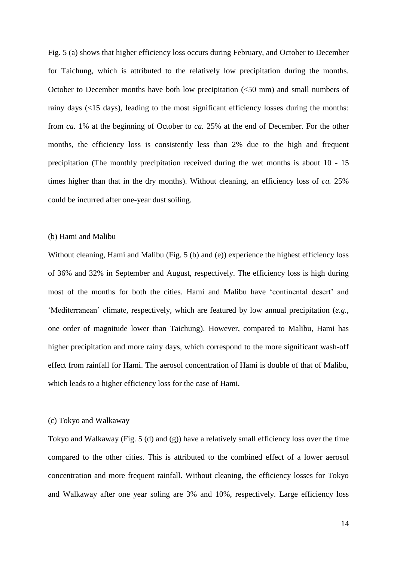Fig. 5 (a) shows that higher efficiency loss occurs during February, and October to December for Taichung, which is attributed to the relatively low precipitation during the months. October to December months have both low precipitation (<50 mm) and small numbers of rainy days (<15 days), leading to the most significant efficiency losses during the months: from *ca.* 1% at the beginning of October to *ca.* 25% at the end of December. For the other months, the efficiency loss is consistently less than 2% due to the high and frequent precipitation (The monthly precipitation received during the wet months is about 10 - 15 times higher than that in the dry months). Without cleaning, an efficiency loss of *ca.* 25% could be incurred after one-year dust soiling.

#### (b) Hami and Malibu

Without cleaning, Hami and Malibu (Fig. 5 (b) and (e)) experience the highest efficiency loss of 36% and 32% in September and August, respectively. The efficiency loss is high during most of the months for both the cities. Hami and Malibu have 'continental desert' and 'Mediterranean' climate, respectively, which are featured by low annual precipitation (*e.g.*, one order of magnitude lower than Taichung). However, compared to Malibu, Hami has higher precipitation and more rainy days, which correspond to the more significant wash-off effect from rainfall for Hami. The aerosol concentration of Hami is double of that of Malibu, which leads to a higher efficiency loss for the case of Hami.

#### (c) Tokyo and Walkaway

Tokyo and Walkaway (Fig. 5 (d) and (g)) have a relatively small efficiency loss over the time compared to the other cities. This is attributed to the combined effect of a lower aerosol concentration and more frequent rainfall. Without cleaning, the efficiency losses for Tokyo and Walkaway after one year soling are 3% and 10%, respectively. Large efficiency loss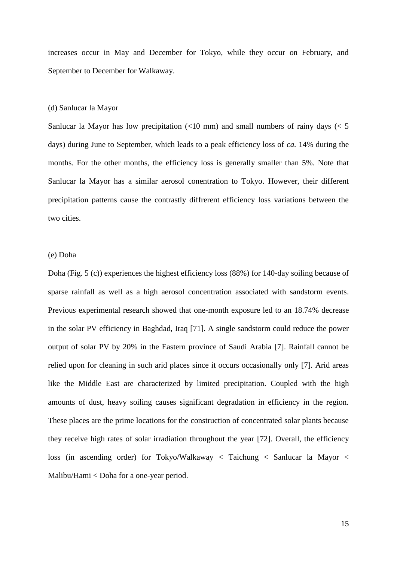increases occur in May and December for Tokyo, while they occur on February, and September to December for Walkaway.

#### (d) Sanlucar la Mayor

Sanlucar la Mayor has low precipitation  $\left($ <10 mm) and small numbers of rainy days  $\left($  < 5 days) during June to September, which leads to a peak efficiency loss of *ca.* 14% during the months. For the other months, the efficiency loss is generally smaller than 5%. Note that Sanlucar la Mayor has a similar aerosol conentration to Tokyo. However, their different precipitation patterns cause the contrastly diffrerent efficiency loss variations between the two cities.

#### (e) Doha

Doha (Fig. 5 (c)) experiences the highest efficiency loss (88%) for 140-day soiling because of sparse rainfall as well as a high aerosol concentration associated with sandstorm events. Previous experimental research showed that one-month exposure led to an 18.74% decrease in the solar PV efficiency in Baghdad, Iraq [71]. A single sandstorm could reduce the power output of solar PV by 20% in the Eastern province of Saudi Arabia [7]. Rainfall cannot be relied upon for cleaning in such arid places since it occurs occasionally only [7]. Arid areas like the Middle East are characterized by limited precipitation. Coupled with the high amounts of dust, heavy soiling causes significant degradation in efficiency in the region. These places are the prime locations for the construction of concentrated solar plants because they receive high rates of solar irradiation throughout the year [72]. Overall, the efficiency loss (in ascending order) for Tokyo/Walkaway < Taichung < Sanlucar la Mayor < Malibu/Hami < Doha for a one-year period.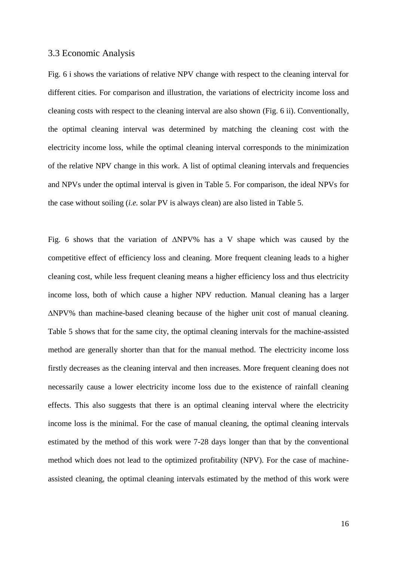#### 3.3 Economic Analysis

Fig. 6 i shows the variations of relative NPV change with respect to the cleaning interval for different cities. For comparison and illustration, the variations of electricity income loss and cleaning costs with respect to the cleaning interval are also shown (Fig. 6 ii). Conventionally, the optimal cleaning interval was determined by matching the cleaning cost with the electricity income loss, while the optimal cleaning interval corresponds to the minimization of the relative NPV change in this work. A list of optimal cleaning intervals and frequencies and NPVs under the optimal interval is given in Table 5. For comparison, the ideal NPVs for the case without soiling (*i.e.* solar PV is always clean) are also listed in Table 5.

Fig. 6 shows that the variation of ∆NPV% has a V shape which was caused by the competitive effect of efficiency loss and cleaning. More frequent cleaning leads to a higher cleaning cost, while less frequent cleaning means a higher efficiency loss and thus electricity income loss, both of which cause a higher NPV reduction. Manual cleaning has a larger ∆NPV% than machine-based cleaning because of the higher unit cost of manual cleaning. Table 5 shows that for the same city, the optimal cleaning intervals for the machine-assisted method are generally shorter than that for the manual method. The electricity income loss firstly decreases as the cleaning interval and then increases. More frequent cleaning does not necessarily cause a lower electricity income loss due to the existence of rainfall cleaning effects. This also suggests that there is an optimal cleaning interval where the electricity income loss is the minimal. For the case of manual cleaning, the optimal cleaning intervals estimated by the method of this work were 7-28 days longer than that by the conventional method which does not lead to the optimized profitability (NPV). For the case of machineassisted cleaning, the optimal cleaning intervals estimated by the method of this work were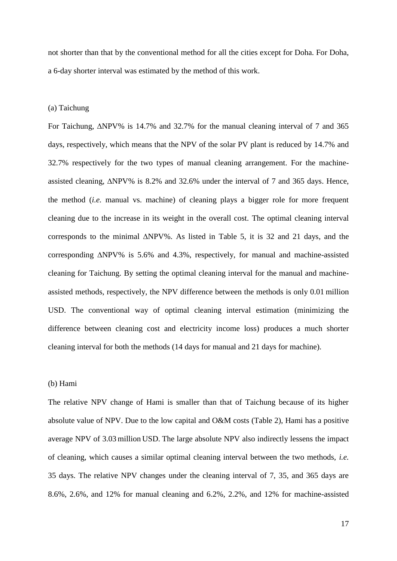not shorter than that by the conventional method for all the cities except for Doha. For Doha, a 6-day shorter interval was estimated by the method of this work.

#### (a) Taichung

For Taichung, ∆NPV% is 14.7% and 32.7% for the manual cleaning interval of 7 and 365 days, respectively, which means that the NPV of the solar PV plant is reduced by 14.7% and 32.7% respectively for the two types of manual cleaning arrangement. For the machineassisted cleaning, ∆NPV% is 8.2% and 32.6% under the interval of 7 and 365 days. Hence, the method (*i.e.* manual vs. machine) of cleaning plays a bigger role for more frequent cleaning due to the increase in its weight in the overall cost. The optimal cleaning interval corresponds to the minimal ∆NPV%. As listed in Table 5, it is 32 and 21 days, and the corresponding ∆NPV% is 5.6% and 4.3%, respectively, for manual and machine-assisted cleaning for Taichung. By setting the optimal cleaning interval for the manual and machineassisted methods, respectively, the NPV difference between the methods is only 0.01 million USD. The conventional way of optimal cleaning interval estimation (minimizing the difference between cleaning cost and electricity income loss) produces a much shorter cleaning interval for both the methods (14 days for manual and 21 days for machine).

#### (b) Hami

The relative NPV change of Hami is smaller than that of Taichung because of its higher absolute value of NPV. Due to the low capital and O&M costs (Table 2), Hami has a positive average NPV of 3.03 million USD. The large absolute NPV also indirectly lessens the impact of cleaning, which causes a similar optimal cleaning interval between the two methods, *i.e.* 35 days. The relative NPV changes under the cleaning interval of 7, 35, and 365 days are 8.6%, 2.6%, and 12% for manual cleaning and 6.2%, 2.2%, and 12% for machine-assisted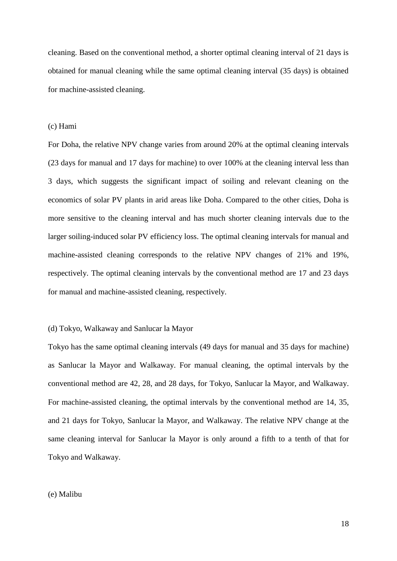cleaning. Based on the conventional method, a shorter optimal cleaning interval of 21 days is obtained for manual cleaning while the same optimal cleaning interval (35 days) is obtained for machine-assisted cleaning.

#### (c) Hami

For Doha, the relative NPV change varies from around 20% at the optimal cleaning intervals (23 days for manual and 17 days for machine) to over 100% at the cleaning interval less than 3 days, which suggests the significant impact of soiling and relevant cleaning on the economics of solar PV plants in arid areas like Doha. Compared to the other cities, Doha is more sensitive to the cleaning interval and has much shorter cleaning intervals due to the larger soiling-induced solar PV efficiency loss. The optimal cleaning intervals for manual and machine-assisted cleaning corresponds to the relative NPV changes of 21% and 19%, respectively. The optimal cleaning intervals by the conventional method are 17 and 23 days for manual and machine-assisted cleaning, respectively.

#### (d) Tokyo, Walkaway and Sanlucar la Mayor

Tokyo has the same optimal cleaning intervals (49 days for manual and 35 days for machine) as Sanlucar la Mayor and Walkaway. For manual cleaning, the optimal intervals by the conventional method are 42, 28, and 28 days, for Tokyo, Sanlucar la Mayor, and Walkaway. For machine-assisted cleaning, the optimal intervals by the conventional method are 14, 35, and 21 days for Tokyo, Sanlucar la Mayor, and Walkaway. The relative NPV change at the same cleaning interval for Sanlucar la Mayor is only around a fifth to a tenth of that for Tokyo and Walkaway.

#### (e) Malibu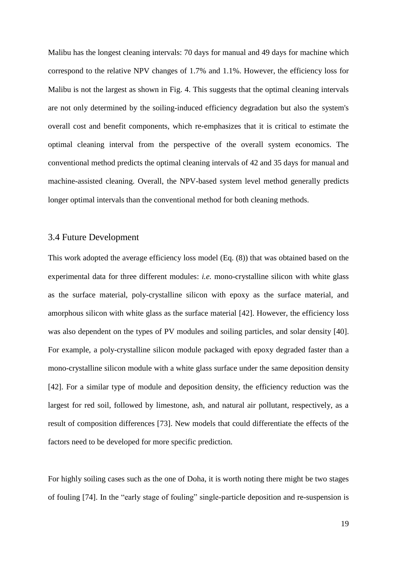Malibu has the longest cleaning intervals: 70 days for manual and 49 days for machine which correspond to the relative NPV changes of 1.7% and 1.1%. However, the efficiency loss for Malibu is not the largest as shown in Fig. 4. This suggests that the optimal cleaning intervals are not only determined by the soiling-induced efficiency degradation but also the system's overall cost and benefit components, which re-emphasizes that it is critical to estimate the optimal cleaning interval from the perspective of the overall system economics. The conventional method predicts the optimal cleaning intervals of 42 and 35 days for manual and machine-assisted cleaning. Overall, the NPV-based system level method generally predicts longer optimal intervals than the conventional method for both cleaning methods.

## 3.4 Future Development

This work adopted the average efficiency loss model (Eq. (8)) that was obtained based on the experimental data for three different modules: *i.e.* mono-crystalline silicon with white glass as the surface material, poly-crystalline silicon with epoxy as the surface material, and amorphous silicon with white glass as the surface material [42]. However, the efficiency loss was also dependent on the types of PV modules and soiling particles, and solar density [40]. For example, a poly-crystalline silicon module packaged with epoxy degraded faster than a mono-crystalline silicon module with a white glass surface under the same deposition density [42]. For a similar type of module and deposition density, the efficiency reduction was the largest for red soil, followed by limestone, ash, and natural air pollutant, respectively, as a result of composition differences [73]. New models that could differentiate the effects of the factors need to be developed for more specific prediction.

For highly soiling cases such as the one of Doha, it is worth noting there might be two stages of fouling [74]. In the "early stage of fouling" single-particle deposition and re-suspension is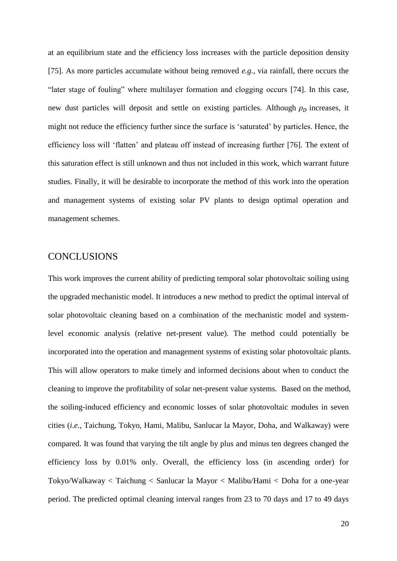at an equilibrium state and the efficiency loss increases with the particle deposition density [75]. As more particles accumulate without being removed *e.g.*, via rainfall, there occurs the "later stage of fouling" where multilayer formation and clogging occurs [74]. In this case, new dust particles will deposit and settle on existing particles. Although  $\rho_D$  increases, it might not reduce the efficiency further since the surface is 'saturated' by particles. Hence, the efficiency loss will 'flatten' and plateau off instead of increasing further [76]. The extent of this saturation effect is still unknown and thus not included in this work, which warrant future studies. Finally, it will be desirable to incorporate the method of this work into the operation and management systems of existing solar PV plants to design optimal operation and management schemes.

## CONCLUSIONS

This work improves the current ability of predicting temporal solar photovoltaic soiling using the upgraded mechanistic model. It introduces a new method to predict the optimal interval of solar photovoltaic cleaning based on a combination of the mechanistic model and systemlevel economic analysis (relative net-present value). The method could potentially be incorporated into the operation and management systems of existing solar photovoltaic plants. This will allow operators to make timely and informed decisions about when to conduct the cleaning to improve the profitability of solar net-present value systems. Based on the method, the soiling-induced efficiency and economic losses of solar photovoltaic modules in seven cities (*i.e.*, Taichung, Tokyo, Hami, Malibu, Sanlucar la Mayor, Doha, and Walkaway) were compared. It was found that varying the tilt angle by plus and minus ten degrees changed the efficiency loss by 0.01% only. Overall, the efficiency loss (in ascending order) for Tokyo/Walkaway < Taichung < Sanlucar la Mayor < Malibu/Hami < Doha for a one-year period. The predicted optimal cleaning interval ranges from 23 to 70 days and 17 to 49 days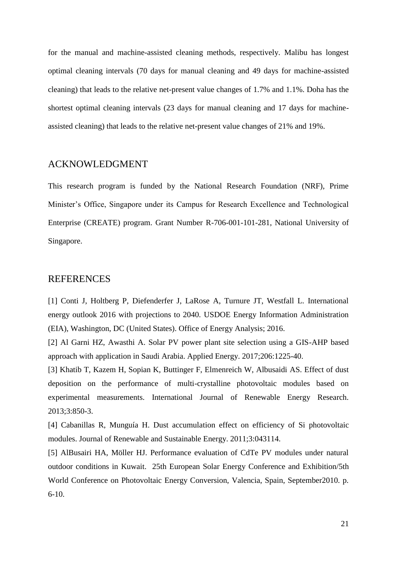for the manual and machine-assisted cleaning methods, respectively. Malibu has longest optimal cleaning intervals (70 days for manual cleaning and 49 days for machine-assisted cleaning) that leads to the relative net-present value changes of 1.7% and 1.1%. Doha has the shortest optimal cleaning intervals (23 days for manual cleaning and 17 days for machineassisted cleaning) that leads to the relative net-present value changes of 21% and 19%.

## ACKNOWLEDGMENT

This research program is funded by the National Research Foundation (NRF), Prime Minister's Office, Singapore under its Campus for Research Excellence and Technological Enterprise (CREATE) program. Grant Number R-706-001-101-281, National University of Singapore.

## REFERENCES

[1] Conti J, Holtberg P, Diefenderfer J, LaRose A, Turnure JT, Westfall L. International energy outlook 2016 with projections to 2040. USDOE Energy Information Administration (EIA), Washington, DC (United States). Office of Energy Analysis; 2016.

[2] Al Garni HZ, Awasthi A. Solar PV power plant site selection using a GIS-AHP based approach with application in Saudi Arabia. Applied Energy. 2017;206:1225-40.

[3] Khatib T, Kazem H, Sopian K, Buttinger F, Elmenreich W, Albusaidi AS. Effect of dust deposition on the performance of multi-crystalline photovoltaic modules based on experimental measurements. International Journal of Renewable Energy Research. 2013;3:850-3.

[4] Cabanillas R, Munguía H. Dust accumulation effect on efficiency of Si photovoltaic modules. Journal of Renewable and Sustainable Energy. 2011;3:043114.

[5] AlBusairi HA, Möller HJ. Performance evaluation of CdTe PV modules under natural outdoor conditions in Kuwait. 25th European Solar Energy Conference and Exhibition/5th World Conference on Photovoltaic Energy Conversion, Valencia, Spain, September2010. p.  $6-10.$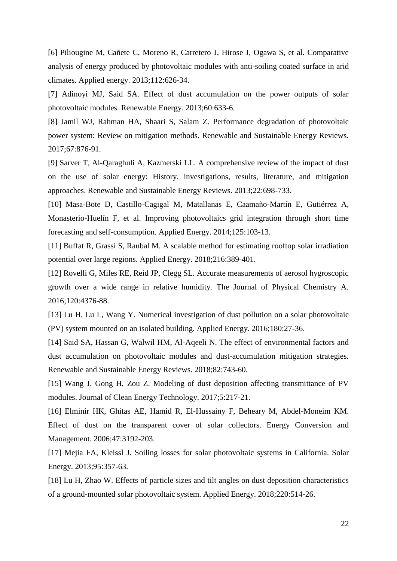[6] Piliougine M, Cañete C, Moreno R, Carretero J, Hirose J, Ogawa S, et al. Comparative analysis of energy produced by photovoltaic modules with anti-soiling coated surface in arid climates. Applied energy. 2013;112:626-34.

[7] Adinoyi MJ, Said SA. Effect of dust accumulation on the power outputs of solar photovoltaic modules. Renewable Energy. 2013;60:633-6.

[8] Jamil WJ, Rahman HA, Shaari S, Salam Z. Performance degradation of photovoltaic power system: Review on mitigation methods. Renewable and Sustainable Energy Reviews. 2017;67:876-91.

[9] Sarver T, Al-Qaraghuli A, Kazmerski LL. A comprehensive review of the impact of dust on the use of solar energy: History, investigations, results, literature, and mitigation approaches. Renewable and Sustainable Energy Reviews. 2013;22:698-733.

[10] Masa-Bote D, Castillo-Cagigal M, Matallanas E, Caamaño-Martín E, Gutiérrez A, Monasterio-Huelín F, et al. Improving photovoltaics grid integration through short time forecasting and self-consumption. Applied Energy. 2014;125:103-13.

[11] Buffat R, Grassi S, Raubal M. A scalable method for estimating rooftop solar irradiation potential over large regions. Applied Energy. 2018;216:389-401.

[12] Rovelli G, Miles RE, Reid JP, Clegg SL. Accurate measurements of aerosol hygroscopic growth over a wide range in relative humidity. The Journal of Physical Chemistry A. 2016;120:4376-88.

[13] Lu H, Lu L, Wang Y. Numerical investigation of dust pollution on a solar photovoltaic (PV) system mounted on an isolated building. Applied Energy. 2016;180:27-36.

[14] Said SA, Hassan G, Walwil HM, Al-Aqeeli N. The effect of environmental factors and dust accumulation on photovoltaic modules and dust-accumulation mitigation strategies. Renewable and Sustainable Energy Reviews. 2018;82:743-60.

[15] Wang J, Gong H, Zou Z. Modeling of dust deposition affecting transmittance of PV modules. Journal of Clean Energy Technology. 2017;5:217-21.

[16] Elminir HK, Ghitas AE, Hamid R, El-Hussainy F, Beheary M, Abdel-Moneim KM. Effect of dust on the transparent cover of solar collectors. Energy Conversion and Management. 2006;47:3192-203.

[17] Mejia FA, Kleissl J. Soiling losses for solar photovoltaic systems in California. Solar Energy. 2013;95:357-63.

[18] Lu H, Zhao W. Effects of particle sizes and tilt angles on dust deposition characteristics of a ground-mounted solar photovoltaic system. Applied Energy. 2018;220:514-26.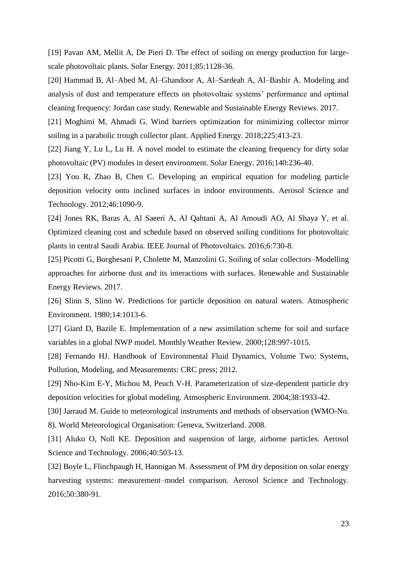[19] Pavan AM, Mellit A, De Pieri D. The effect of soiling on energy production for largescale photovoltaic plants. Solar Energy. 2011;85:1128-36.

[20] Hammad B, Al–Abed M, Al–Ghandoor A, Al–Sardeah A, Al–Bashir A. Modeling and analysis of dust and temperature effects on photovoltaic systems' performance and optimal cleaning frequency: Jordan case study. Renewable and Sustainable Energy Reviews. 2017.

[21] Moghimi M, Ahmadi G. Wind barriers optimization for minimizing collector mirror soiling in a parabolic trough collector plant. Applied Energy. 2018;225:413-23.

[22] Jiang Y, Lu L, Lu H. A novel model to estimate the cleaning frequency for dirty solar photovoltaic (PV) modules in desert environment. Solar Energy. 2016;140:236-40.

[23] You R, Zhao B, Chen C. Developing an empirical equation for modeling particle deposition velocity onto inclined surfaces in indoor environments. Aerosol Science and Technology. 2012;46:1090-9.

[24] Jones RK, Baras A, Al Saeeri A, Al Qahtani A, Al Amoudi AO, Al Shaya Y, et al. Optimized cleaning cost and schedule based on observed soiling conditions for photovoltaic plants in central Saudi Arabia. IEEE Journal of Photovoltaics. 2016;6:730-8.

[25] Picotti G, Borghesani P, Cholette M, Manzolini G. Soiling of solar collectors–Modelling approaches for airborne dust and its interactions with surfaces. Renewable and Sustainable Energy Reviews. 2017.

[26] Slinn S, Slinn W. Predictions for particle deposition on natural waters. Atmospheric Environment. 1980;14:1013-6.

[27] Giard D, Bazile E. Implementation of a new assimilation scheme for soil and surface variables in a global NWP model. Monthly Weather Review. 2000;128:997-1015.

[28] Fernando HJ. Handbook of Environmental Fluid Dynamics, Volume Two: Systems, Pollution, Modeling, and Measurements: CRC press; 2012.

[29] Nho-Kim E-Y, Michou M, Peuch V-H. Parameterization of size-dependent particle dry deposition velocities for global modeling. Atmospheric Environment. 2004;38:1933-42.

[30] Jarraud M. Guide to meteorological instruments and methods of observation (WMO-No. 8). World Meteorological Organisation: Geneva, Switzerland. 2008.

[31] Aluko O, Noll KE. Deposition and suspension of large, airborne particles. Aerosol Science and Technology. 2006;40:503-13.

[32] Boyle L, Flinchpaugh H, Hannigan M. Assessment of PM dry deposition on solar energy harvesting systems: measurement–model comparison. Aerosol Science and Technology. 2016;50:380-91.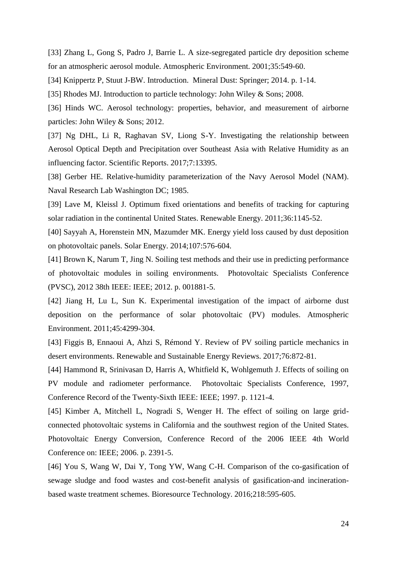[33] Zhang L, Gong S, Padro J, Barrie L. A size-segregated particle dry deposition scheme for an atmospheric aerosol module. Atmospheric Environment. 2001;35:549-60.

[34] Knippertz P, Stuut J-BW. Introduction. Mineral Dust: Springer; 2014. p. 1-14.

[35] Rhodes MJ. Introduction to particle technology: John Wiley & Sons; 2008.

[36] Hinds WC. Aerosol technology: properties, behavior, and measurement of airborne particles: John Wiley & Sons; 2012.

[37] Ng DHL, Li R, Raghavan SV, Liong S-Y. Investigating the relationship between Aerosol Optical Depth and Precipitation over Southeast Asia with Relative Humidity as an influencing factor. Scientific Reports. 2017;7:13395.

[38] Gerber HE. Relative-humidity parameterization of the Navy Aerosol Model (NAM). Naval Research Lab Washington DC; 1985.

[39] Lave M, Kleissl J. Optimum fixed orientations and benefits of tracking for capturing solar radiation in the continental United States. Renewable Energy. 2011;36:1145-52.

[40] Sayyah A, Horenstein MN, Mazumder MK. Energy yield loss caused by dust deposition on photovoltaic panels. Solar Energy. 2014;107:576-604.

[41] Brown K, Narum T, Jing N. Soiling test methods and their use in predicting performance of photovoltaic modules in soiling environments. Photovoltaic Specialists Conference (PVSC), 2012 38th IEEE: IEEE; 2012. p. 001881-5.

[42] Jiang H, Lu L, Sun K. Experimental investigation of the impact of airborne dust deposition on the performance of solar photovoltaic (PV) modules. Atmospheric Environment. 2011;45:4299-304.

[43] Figgis B, Ennaoui A, Ahzi S, Rémond Y. Review of PV soiling particle mechanics in desert environments. Renewable and Sustainable Energy Reviews. 2017;76:872-81.

[44] Hammond R, Srinivasan D, Harris A, Whitfield K, Wohlgemuth J. Effects of soiling on PV module and radiometer performance. Photovoltaic Specialists Conference, 1997, Conference Record of the Twenty-Sixth IEEE: IEEE; 1997. p. 1121-4.

[45] Kimber A, Mitchell L, Nogradi S, Wenger H. The effect of soiling on large gridconnected photovoltaic systems in California and the southwest region of the United States. Photovoltaic Energy Conversion, Conference Record of the 2006 IEEE 4th World Conference on: IEEE; 2006. p. 2391-5.

[46] You S, Wang W, Dai Y, Tong YW, Wang C-H. Comparison of the co-gasification of sewage sludge and food wastes and cost-benefit analysis of gasification-and incinerationbased waste treatment schemes. Bioresource Technology. 2016;218:595-605.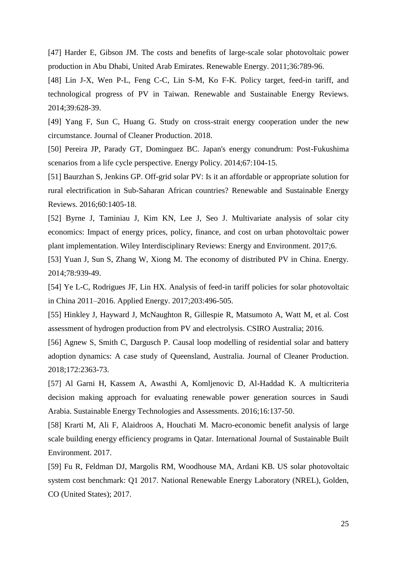[47] Harder E, Gibson JM. The costs and benefits of large-scale solar photovoltaic power production in Abu Dhabi, United Arab Emirates. Renewable Energy. 2011;36:789-96.

[48] Lin J-X, Wen P-L, Feng C-C, Lin S-M, Ko F-K. Policy target, feed-in tariff, and technological progress of PV in Taiwan. Renewable and Sustainable Energy Reviews. 2014;39:628-39.

[49] Yang F, Sun C, Huang G. Study on cross-strait energy cooperation under the new circumstance. Journal of Cleaner Production. 2018.

[50] Pereira JP, Parady GT, Dominguez BC. Japan's energy conundrum: Post-Fukushima scenarios from a life cycle perspective. Energy Policy. 2014;67:104-15.

[51] Baurzhan S, Jenkins GP. Off-grid solar PV: Is it an affordable or appropriate solution for rural electrification in Sub-Saharan African countries? Renewable and Sustainable Energy Reviews. 2016;60:1405-18.

[52] Byrne J, Taminiau J, Kim KN, Lee J, Seo J. Multivariate analysis of solar city economics: Impact of energy prices, policy, finance, and cost on urban photovoltaic power plant implementation. Wiley Interdisciplinary Reviews: Energy and Environment. 2017;6.

[53] Yuan J, Sun S, Zhang W, Xiong M. The economy of distributed PV in China. Energy. 2014;78:939-49.

[54] Ye L-C, Rodrigues JF, Lin HX. Analysis of feed-in tariff policies for solar photovoltaic in China 2011–2016. Applied Energy. 2017;203:496-505.

[55] Hinkley J, Hayward J, McNaughton R, Gillespie R, Matsumoto A, Watt M, et al. Cost assessment of hydrogen production from PV and electrolysis. CSIRO Australia; 2016.

[56] Agnew S, Smith C, Dargusch P. Causal loop modelling of residential solar and battery adoption dynamics: A case study of Queensland, Australia. Journal of Cleaner Production. 2018;172:2363-73.

[57] Al Garni H, Kassem A, Awasthi A, Komljenovic D, Al-Haddad K. A multicriteria decision making approach for evaluating renewable power generation sources in Saudi Arabia. Sustainable Energy Technologies and Assessments. 2016;16:137-50.

[58] Krarti M, Ali F, Alaidroos A, Houchati M. Macro-economic benefit analysis of large scale building energy efficiency programs in Qatar. International Journal of Sustainable Built Environment. 2017.

[59] Fu R, Feldman DJ, Margolis RM, Woodhouse MA, Ardani KB. US solar photovoltaic system cost benchmark: Q1 2017. National Renewable Energy Laboratory (NREL), Golden, CO (United States); 2017.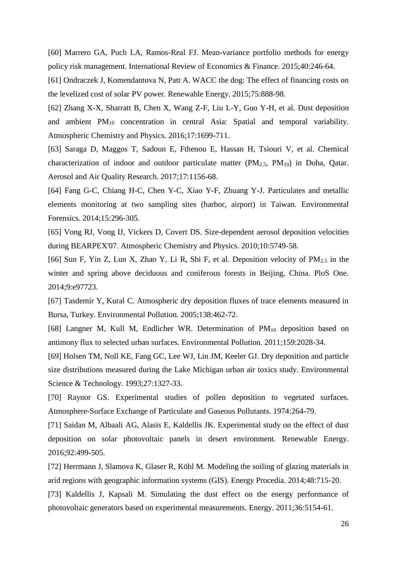[60] Marrero GA, Puch LA, Ramos-Real FJ. Mean-variance portfolio methods for energy policy risk management. International Review of Economics & Finance. 2015;40:246-64.

[61] Ondraczek J, Komendantova N, Patt A. WACC the dog: The effect of financing costs on the levelized cost of solar PV power. Renewable Energy. 2015;75:888-98.

[62] Zhang X-X, Sharratt B, Chen X, Wang Z-F, Liu L-Y, Guo Y-H, et al. Dust deposition and ambient PM<sup>10</sup> concentration in central Asia: Spatial and temporal variability. Atmospheric Chemistry and Physics. 2016;17:1699-711.

[63] Saraga D, Maggos T, Sadoun E, Fthenou E, Hassan H, Tsiouri V, et al. Chemical characterization of indoor and outdoor particulate matter  $(PM<sub>2.5</sub>, PM<sub>10</sub>)$  in Doha, Qatar. Aerosol and Air Quality Research. 2017;17:1156-68.

[64] Fang G-C, Chiang H-C, Chen Y-C, Xiao Y-F, Zhuang Y-J. Particulates and metallic elements monitoring at two sampling sites (harbor, airport) in Taiwan. Environmental Forensics. 2014;15:296-305.

[65] Vong RJ, Vong IJ, Vickers D, Covert DS. Size-dependent aerosol deposition velocities during BEARPEX'07. Atmospheric Chemistry and Physics. 2010;10:5749-58.

[66] Sun F, Yin Z, Lun X, Zhao Y, Li R, Shi F, et al. Deposition velocity of  $PM_{2.5}$  in the winter and spring above deciduous and coniferous forests in Beijing, China. PloS One. 2014;9:e97723.

[67] Tasdemir Y, Kural C. Atmospheric dry deposition fluxes of trace elements measured in Bursa, Turkey. Environmental Pollution. 2005;138:462-72.

[68] Langner M, Kull M, Endlicher WR. Determination of PM<sub>10</sub> deposition based on antimony flux to selected urban surfaces. Environmental Pollution. 2011;159:2028-34.

[69] Holsen TM, Noll KE, Fang GC, Lee WJ, Lin JM, Keeler GJ. Dry deposition and particle size distributions measured during the Lake Michigan urban air toxics study. Environmental Science & Technology. 1993;27:1327-33.

[70] Raynor GS. Experimental studies of pollen deposition to vegetated surfaces. Atmosphere-Surface Exchange of Particulate and Gaseous Pollutants. 1974:264-79.

[71] Saidan M, Albaali AG, Alasis E, Kaldellis JK. Experimental study on the effect of dust deposition on solar photovoltaic panels in desert environment. Renewable Energy. 2016;92:499-505.

[72] Herrmann J, Slamova K, Glaser R, Köhl M. Modeling the soiling of glazing materials in arid regions with geographic information systems (GIS). Energy Procedia. 2014;48:715-20.

[73] Kaldellis J, Kapsali M. Simulating the dust effect on the energy performance of photovoltaic generators based on experimental measurements. Energy. 2011;36:5154-61.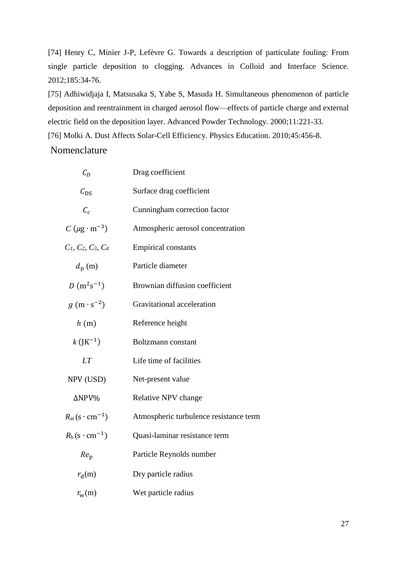[74] Henry C, Minier J-P, Lefèvre G. Towards a description of particulate fouling: From single particle deposition to clogging. Advances in Colloid and Interface Science. 2012;185:34-76.

[75] Adhiwidjaja I, Matsusaka S, Yabe S, Masuda H. Simultaneous phenomenon of particle deposition and reentrainment in charged aerosol flow—effects of particle charge and external electric field on the deposition layer. Advanced Powder Technology. 2000;11:221-33.

[76] Molki A. Dust Affects Solar-Cell Efficiency. Physics Education. 2010;45:456-8.

# Nomenclature

| $C_D$                                         | Drag coefficient                       |
|-----------------------------------------------|----------------------------------------|
| $C_{DS}$                                      | Surface drag coefficient               |
| $C_c$                                         | Cunningham correction factor           |
| $C (\mu g \cdot m^{-3})$                      | Atmospheric aerosol concentration      |
| $C_1, C_2, C_3, C_4$                          | <b>Empirical constants</b>             |
| $d_{\rm p}$ (m)                               | Particle diameter                      |
| $D(m^2s^{-1})$                                | Brownian diffusion coefficient         |
| $g(m \cdot s^{-2})$                           | Gravitational acceleration             |
| h(m)                                          | Reference height                       |
| $k$ (JK <sup>-1</sup> )                       | Boltzmann constant                     |
| LT                                            | Life time of facilities                |
| NPV (USD)                                     | Net-present value                      |
| ΔNPV%                                         | Relative NPV change                    |
| $R_{\text{at}}(\text{s}\cdot \text{cm}^{-1})$ | Atmospheric turbulence resistance term |
| $R_b$ (s · cm <sup>-1</sup> )                 | Quasi-laminar resistance term          |
| $Re_{p}$                                      | Particle Reynolds number               |
| $r_{\rm d}(m)$                                | Dry particle radius                    |
| $r_{\rm w}(m)$                                | Wet particle radius                    |